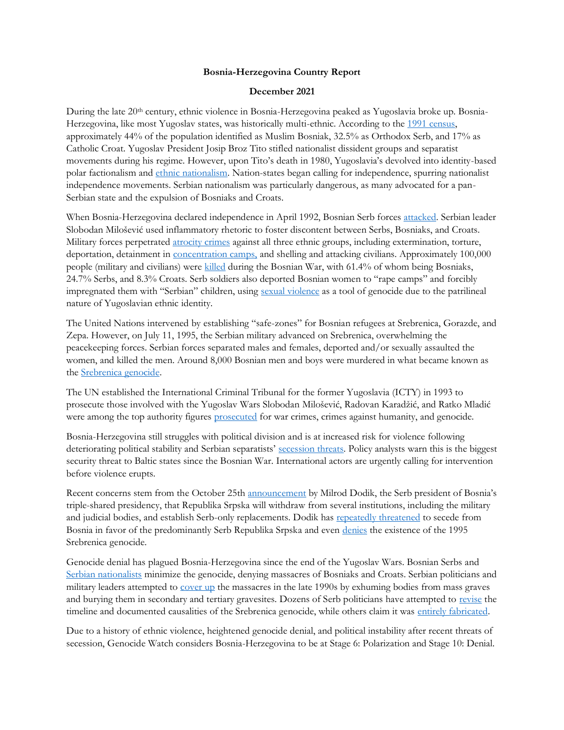## **Bosnia-Herzegovina Country Report**

## **December 2021**

During the late 20th century, ethnic violence in Bosnia-Herzegovina peaked as Yugoslavia broke up. Bosnia-Herzegovina, like most Yugoslav states, was historically multi-ethnic. According to the [1991 census,](https://books.google.com/books?id=ORSMBFwjAKcC&pg=PA311#v=onepage&q&f=false) approximately 44% of the population identified as Muslim Bosniak, 32.5% as Orthodox Serb, and 17% as Catholic Croat. Yugoslav President Josip Broz Tito stifled nationalist dissident groups and separatist movements during his regime. However, upon Tito's death in 1980, Yugoslavia's devolved into identity-based polar factionalism and [ethnic nationalism.](https://www.usip.org/publications/1996/04/serbian-nationalism-and-origins-yugoslav-crisis) Nation-states began calling for independence, spurring nationalist independence movements. Serbian nationalism was particularly dangerous, as many advocated for a pan-Serbian state and the expulsion of Bosniaks and Croats.

When Bosnia-Herzegovina declared independence in April 1992, Bosnian Serb forces [attacked.](https://www.history.com/topics/1990s/bosnian-genocide) Serbian leader Slobodan Milošević used inflammatory rhetoric to foster discontent between Serbs, Bosniaks, and Croats. Military forces perpetrated [atrocity crimes](https://www.history.com/topics/1990s/bosnian-genocide) against all three ethnic groups, including extermination, torture, deportation, detainment in [concentration camps,](https://srebrenica.org.uk/what-happened/history/concentration-camps) and shelling and attacking civilians. Approximately 100,000 people (military and civilians) were [killed](https://books.google.com/books?id=IDMhDgCJCe0C&pg=PA140#v=onepage&q&f=false) during the Bosnian War, with 61.4% of whom being Bosniaks, 24.7% Serbs, and 8.3% Croats. Serb soldiers also deported Bosnian women to "rape camps" and forcibly impregnated them with "Serbian" children, using [sexual violence](https://balkaninsight.com/2021/03/03/bosnian-war-rape-survivors-still-afraid-to-speak-out/) as a tool of genocide due to the patrilineal nature of Yugoslavian ethnic identity.

The United Nations intervened by establishing "safe-zones" for Bosnian refugees at Srebrenica, Gorazde, and Zepa. However, on July 11, 1995, the Serbian military advanced on Srebrenica, overwhelming the peacekeeping forces. Serbian forces separated males and females, deported and/or sexually assaulted the women, and killed the men. Around 8,000 Bosnian men and boys were murdered in what became known as the [Srebrenica genocide.](https://www.aljazeera.com/news/2021/7/11/srebrenica-genocide-survivor-it-will-happen-to-us-again)

The UN established the International Criminal Tribunal for the former Yugoslavia (ICTY) in 1993 to prosecute those involved with the Yugoslav Wars Slobodan Milošević, Radovan Karadžić, and Ratko Mladić were among the top authority figures [prosecuted](https://www.icty.org/x/file/About/Reports%20and%20Publications/CompletionStrategy/completion_strategy_18may2011_en.pdf) for war crimes, crimes against humanity, and genocide.

Bosnia-Herzegovina still struggles with political division and is at increased risk for violence following deteriorating political stability and Serbian separatists' [secession](https://www.theguardian.com/world/2021/nov/24/bosnia-and-surrounding-region-still-heading-for-crisis-says-top-official) threats. Policy analysts warn this is the biggest security threat to Baltic states since the Bosnian War. International actors are urgently calling for intervention before violence erupts.

Recent concerns stem from the October 25th [announcement](https://www.aljazeera.com/news/2021/11/18/red-line-moving-down-all-the-time-how-to-solve-bosnias-crisis) by Milrod Dodik, the Serb president of Bosnia's triple-shared presidency, that Republika Srpska will withdraw from several institutions, including the military and judicial bodies, and establish Serb-only replacements. Dodik has [repeatedly threatened](https://www.aljazeera.com/news/2021/11/18/red-line-moving-down-all-the-time-how-to-solve-bosnias-crisis) to secede from Bosnia in favor of the predominantly Serb Republika Srpska and even [denies](https://news.sky.com/story/bosnian-serb-leader-milorad-dodik-calls-srebrenica-massacre-of-8-000-people-a-myth-11692695) the existence of the 1995 Srebrenica genocide.

Genocide denial has plagued Bosnia-Herzegovina since the end of the Yugoslav Wars. Bosnian Serbs and [Serbian nationalists](https://www.trtworld.com/opinion/genocide-denial-and-the-reaffirmation-of-the-serbian-nationalist-project-38064) minimize the genocide, denying massacres of Bosniaks and Croats. Serbian politicians and military leaders attempted to [cover up](https://balkaninsight.com/2019/07/09/srebrenica-cover-up-the-search-for-secret-graves-continues/) the massacres in the late 1990s by exhuming bodies from mass graves and burying them in secondary and tertiary gravesites. Dozens of Serb politicians have attempted to [revise](https://www.theguardian.com/world/2020/jul/10/genocide-denial-gains-ground-25-years-after-srebrenica-massacre) the timeline and documented causalities of the Srebrenica genocide, while others claim it was [entirely fabricated.](https://china-cee.eu/2019/05/03/bosnia-herzegovina-social-briefing-bosnian-genocide-denial/)

Due to a history of ethnic violence, heightened genocide denial, and political instability after recent threats of secession, Genocide Watch considers Bosnia-Herzegovina to be at Stage 6: Polarization and Stage 10: Denial.